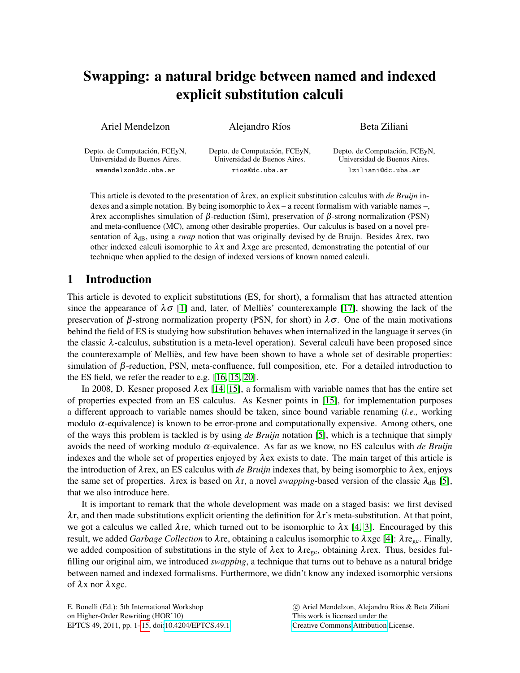# Swapping: a natural bridge between named and indexed explicit substitution calculi

| Ariel Mendelzon | Alejandro Ríos | Beta Ziliani |
|-----------------|----------------|--------------|
|                 |                |              |

Depto. de Computación, FCEyN, Universidad de Buenos Aires. amendelzon@dc.uba.ar

Depto. de Computación, FCEyN, Universidad de Buenos Aires. rios@dc.uba.ar

Depto. de Computación, FCEyN, Universidad de Buenos Aires. lziliani@dc.uba.ar

This article is devoted to the presentation of λrex, an explicit substitution calculus with *de Bruijn* indexes and a simple notation. By being isomorphic to  $\lambda$ ex – a recent formalism with variable names –, λrex accomplishes simulation of β-reduction (Sim), preservation of β-strong normalization (PSN) and meta-confluence (MC), among other desirable properties. Our calculus is based on a novel presentation of  $\lambda_{dB}$ , using a *swap* notion that was originally devised by de Bruijn. Besides  $\lambda$ rex, two other indexed calculi isomorphic to  $\lambda x$  and  $\lambda x$ gc are presented, demonstrating the potential of our technique when applied to the design of indexed versions of known named calculi.

## 1 Introduction

This article is devoted to explicit substitutions (ES, for short), a formalism that has attracted attention since the appearance of  $\lambda \sigma$  [\[1\]](#page-9-0) and, later, of Melliès' counterexample [\[17\]](#page-9-1), showing the lack of the preservation of β-strong normalization property (PSN, for short) in  $\lambda \sigma$ . One of the main motivations behind the field of ES is studying how substitution behaves when internalized in the language it serves (in the classic  $\lambda$ -calculus, substitution is a meta-level operation). Several calculi have been proposed since the counterexample of Melliès, and few have been shown to have a whole set of desirable properties: simulation of β-reduction, PSN, meta-confluence, full composition, etc. For a detailed introduction to the ES field, we refer the reader to e.g. [\[16,](#page-9-2) [15,](#page-9-3) [20\]](#page-10-0).

In 2008, D. Kesner proposed λex [\[14,](#page-9-4) [15\]](#page-9-3), a formalism with variable names that has the entire set of properties expected from an ES calculus. As Kesner points in [\[15\]](#page-9-3), for implementation purposes a different approach to variable names should be taken, since bound variable renaming (*i.e.,* working modulo  $\alpha$ -equivalence) is known to be error-prone and computationally expensive. Among others, one of the ways this problem is tackled is by using *de Bruijn* notation [\[5\]](#page-9-5), which is a technique that simply avoids the need of working modulo α-equivalence. As far as we know, no ES calculus with *de Bruijn* indexes and the whole set of properties enjoyed by  $\lambda$ ex exists to date. The main target of this article is the introduction of  $\lambda$ rex, an ES calculus with *de Bruijn* indexes that, by being isomorphic to  $\lambda$ ex, enjoys the same set of properties.  $\lambda$ rex is based on  $\lambda$ r, a novel *swapping*-based version of the classic  $\lambda_{dB}$  [\[5\]](#page-9-5), that we also introduce here.

It is important to remark that the whole development was made on a staged basis: we first devised  $\lambda$ r, and then made substitutions explicit orienting the definition for  $\lambda$ r's meta-substitution. At that point, we got a calculus we called  $\lambda$ re, which turned out to be isomorphic to  $\lambda$ x [\[4,](#page-9-6) [3\]](#page-9-7). Encouraged by this result, we added *Garbage Collection* to λre, obtaining a calculus isomorphic to λxgc [\[4\]](#page-9-6): λregc. Finally, we added composition of substitutions in the style of  $\lambda$ ex to  $\lambda$ re<sub>gc</sub>, obtaining  $\lambda$ rex. Thus, besides fulfilling our original aim, we introduced *swapping*, a technique that turns out to behave as a natural bridge between named and indexed formalisms. Furthermore, we didn't know any indexed isomorphic versions of  $\lambda x$  nor  $\lambda x$ gc.

E. Bonelli (Ed.): 5th International Workshop on Higher-Order Rewriting (HOR'10) EPTCS 49, 2011, pp. 1[–15,](#page-14-0) doi[:10.4204/EPTCS.49.1](http://dx.doi.org/10.4204/EPTCS.49.1)

 $\circled{c}$  Ariel Mendelzon, Alejandro Ríos & Beta Ziliani This work is licensed under the [Creative Commons](http://creativecommons.org) [Attribution](http://creativecommons.org/licenses/by/3.0/) License.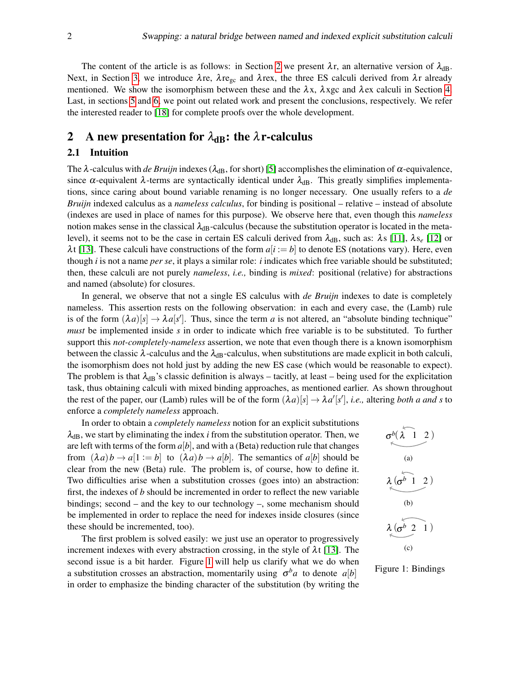The content of the article is as follows: in Section [2](#page-1-0) we present  $\lambda r$ , an alternative version of  $\lambda_{dB}$ . Next, in Section [3,](#page-4-0) we introduce  $\lambda$ re,  $\lambda$ re<sub>gc</sub> and  $\lambda$ rex, the three ES calculi derived from  $\lambda$ r already mentioned. We show the isomorphism between these and the  $\lambda x$ ,  $\lambda x$ gc and  $\lambda$ ex calculi in Section [4.](#page-6-0) Last, in sections [5](#page-7-0) and [6,](#page-8-0) we point out related work and present the conclusions, respectively. We refer the interested reader to [\[18\]](#page-9-8) for complete proofs over the whole development.

### <span id="page-1-0"></span>2 A new presentation for  $\lambda_{dB}$ : the  $\lambda$ r-calculus

#### 2.1 Intuition

The  $\lambda$ -calculus with *de Bruijn* indexes ( $\lambda_{dB}$ , for short) [\[5\]](#page-9-5) accomplishes the elimination of  $\alpha$ -equivalence, since  $\alpha$ -equivalent  $\lambda$ -terms are syntactically identical under  $\lambda_{dB}$ . This greatly simplifies implementations, since caring about bound variable renaming is no longer necessary. One usually refers to a *de Bruijn* indexed calculus as a *nameless calculus*, for binding is positional – relative – instead of absolute (indexes are used in place of names for this purpose). We observe here that, even though this *nameless* notion makes sense in the classical  $\lambda_{dB}$ -calculus (because the substitution operator is located in the metalevel), it seems not to be the case in certain ES calculi derived from  $\lambda_{dB}$ , such as:  $\lambda$ s [\[11\]](#page-9-9),  $\lambda s_e$  [\[12\]](#page-9-10) or  $\lambda t$  [\[13\]](#page-9-11). These calculi have constructions of the form  $a[i] := b$  to denote ES (notations vary). Here, even though *i* is not a name *per se*, it plays a similar role: *i* indicates which free variable should be substituted; then, these calculi are not purely *nameless*, *i.e.,* binding is *mixed*: positional (relative) for abstractions and named (absolute) for closures.

In general, we observe that not a single ES calculus with *de Bruijn* indexes to date is completely nameless. This assertion rests on the following observation: in each and every case, the (Lamb) rule is of the form  $(\lambda a)[s] \to \lambda a[s']$ . Thus, since the term *a* is not altered, an "absolute binding technique" *must* be implemented inside *s* in order to indicate which free variable is to be substituted. To further support this *not-completely-nameless* assertion, we note that even though there is a known isomorphism between the classic  $\lambda$ -calculus and the  $\lambda_{dB}$ -calculus, when substitutions are made explicit in both calculi, the isomorphism does not hold just by adding the new ES case (which would be reasonable to expect). The problem is that  $\lambda_{dB}$ 's classic definition is always – tacitly, at least – being used for the explicitation task, thus obtaining calculi with mixed binding approaches, as mentioned earlier. As shown throughout the rest of the paper, our (Lamb) rules will be of the form  $(\lambda a)[s] \to \lambda a'[s']$ , *i.e.*, altering *both a and s* to enforce a *completely nameless* approach.

In order to obtain a *completely nameless* notion for an explicit substitutions  $\lambda_{dB}$ , we start by eliminating the index *i* from the substitution operator. Then, we are left with terms of the form  $a[b]$ , and with a (Beta) reduction rule that changes from  $(\lambda a) b \rightarrow a[1 := b]$  to  $(\lambda a) b \rightarrow a[b]$ . The semantics of  $a[b]$  should be clear from the new (Beta) rule. The problem is, of course, how to define it. Two difficulties arise when a substitution crosses (goes into) an abstraction: first, the indexes of *b* should be incremented in order to reflect the new variable bindings; second – and the key to our technology –, some mechanism should be implemented in order to replace the need for indexes inside closures (since these should be incremented, too).

The first problem is solved easily: we just use an operator to progressively increment indexes with every abstraction crossing, in the style of  $\lambda t$  [\[13\]](#page-9-11). The second issue is a bit harder. Figure [1](#page-1-1) will help us clarify what we do when a substitution crosses an abstraction, momentarily using  $\sigma^b a$  to denote  $a[b]$ in order to emphasize the binding character of the substitution (by writing the

<span id="page-1-3"></span><span id="page-1-2"></span>
$$
\sigma^{b}(\lambda \quad 1 \quad 2)
$$
\n(a)\n  
\n(a)\n  
\n(b)\n  
\n(b)\n  
\n(c)\n  
\n(c)

<span id="page-1-4"></span><span id="page-1-1"></span>Figure 1: Bindings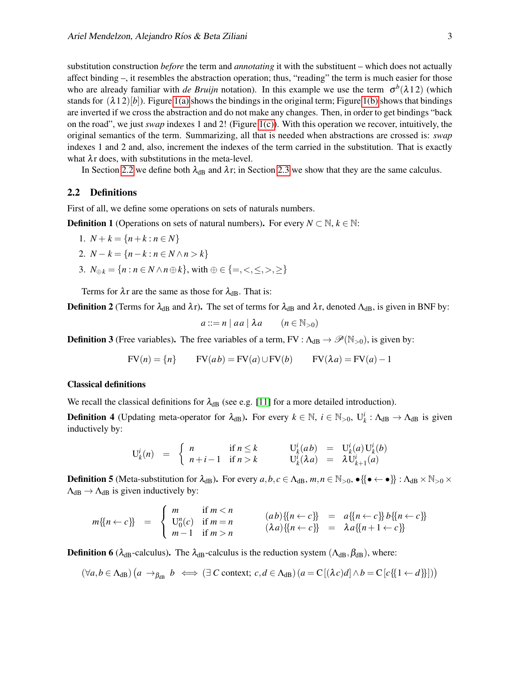substitution construction *before* the term and *annotating* it with the substituent – which does not actually affect binding –, it resembles the abstraction operation; thus, "reading" the term is much easier for those who are already familiar with *de Bruijn* notation). In this example we use the term  $\sigma^b(\lambda 12)$  (which stands for  $(\lambda 12)[b]$ ). Figure [1\(a\)](#page-1-2) shows the bindings in the original term; Figure [1\(b\)](#page-1-3) shows that bindings are inverted if we cross the abstraction and do not make any changes. Then, in order to get bindings "back on the road", we just *swap* indexes 1 and 2! (Figure [1\(c\)\)](#page-1-4). With this operation we recover, intuitively, the original semantics of the term. Summarizing, all that is needed when abstractions are crossed is: *swap* indexes 1 and 2 and, also, increment the indexes of the term carried in the substitution. That is exactly what  $\lambda r$  does, with substitutions in the meta-level.

In Section [2.2](#page-2-0) we define both  $\lambda_{dB}$  and  $\lambda$ r; in Section [2.3](#page-3-0) we show that they are the same calculus.

#### <span id="page-2-0"></span>2.2 Definitions

First of all, we define some operations on sets of naturals numbers.

**Definition 1** (Operations on sets of natural numbers). For every  $N \subset \mathbb{N}$ ,  $k \in \mathbb{N}$ :

1.  $N + k = \{n + k : n \in N\}$ 

2. 
$$
N - k = \{n - k : n \in N \land n > k\}
$$

3.  $N_{\oplus k} = \{ n : n \in N \land n \oplus k \}$ , with  $\oplus \in \{ =, \leq, \leq, >, \geq \}$ 

Terms for  $\lambda r$  are the same as those for  $\lambda_{dB}$ . That is:

**Definition 2** (Terms for  $\lambda_{dB}$  and  $\lambda$ r). The set of terms for  $\lambda_{dB}$  and  $\lambda$ r, denoted  $\Lambda_{dB}$ , is given in BNF by:

$$
a ::= n \mid aa \mid \lambda a \qquad (n \in \mathbb{N}_{>0})
$$

**Definition 3** (Free variables). The free variables of a term, FV :  $\Lambda_{dB} \to \mathscr{P}(\mathbb{N}_{>0})$ , is given by:

$$
FV(n) = \{n\}
$$
 
$$
FV(ab) = FV(a) \cup FV(b)
$$
 
$$
FV(\lambda a) = FV(a) - 1
$$

#### Classical definitions

We recall the classical definitions for  $\lambda_{dB}$  (see e.g. [\[11\]](#page-9-9) for a more detailed introduction).

**Definition 4** (Updating meta-operator for  $\lambda_{dB}$ ). For every  $k \in \mathbb{N}$ ,  $i \in \mathbb{N}_{>0}$ ,  $U_k^i : \Lambda_{dB} \to \Lambda_{dB}$  is given inductively by:

$$
U_k^i(n) = \begin{cases} n & \text{if } n \leq k \\ n+i-1 & \text{if } n > k \end{cases} \qquad U_k^i(ab) = U_k^i(a)U_k^i(b) U_k^i(\lambda a) = \lambda U_{k+1}^i(a)
$$

**Definition 5** (Meta-substitution for  $\lambda_{dB}$ ). For every  $a, b, c \in \Lambda_{dB}$ ,  $m, n \in \mathbb{N}_{>0}$ ,  $\{ \bullet \leftarrow \bullet \}$ :  $\Lambda_{dB} \times \mathbb{N}_{>0} \times \mathbb{N}_{>0}$  $\Lambda_{dB} \rightarrow \Lambda_{dB}$  is given inductively by:

$$
m\{n \leftarrow c\} = \begin{cases} m & \text{if } m < n \\ U_0^n(c) & \text{if } m = n \\ m - 1 & \text{if } m > n \end{cases} \qquad (ab)\{n \leftarrow c\} = a\{n \leftarrow c\} b\{n \leftarrow c\} \\ = \lambda a\{n+1 \leftarrow c\} \}
$$

**Definition 6** ( $\lambda_{dB}$ -calculus). The  $\lambda_{dB}$ -calculus is the reduction system ( $\Lambda_{dB}$ ,  $\beta_{dB}$ ), where:

$$
(\forall a, b \in \Lambda_{dB}) \left( a \to_{\beta_{dB}} b \iff (\exists C \text{ context}; c, d \in \Lambda_{dB}) \left( a = C[(\lambda c)d] \land b = C[c\{\{1 \leftarrow d\}\}]) \right)
$$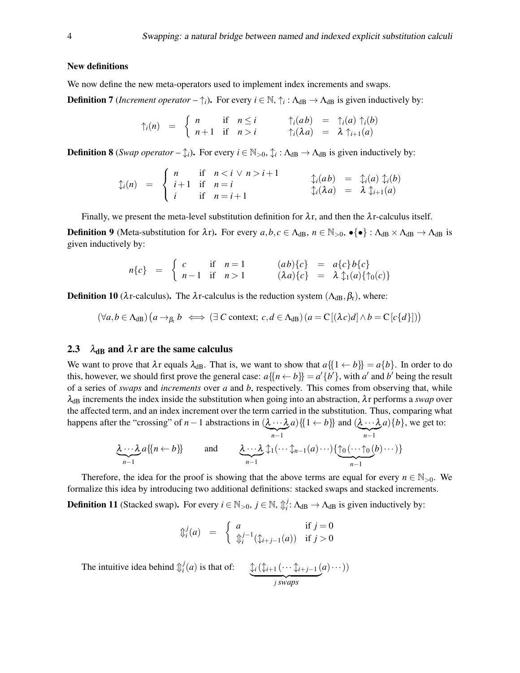#### New definitions

We now define the new meta-operators used to implement index increments and swaps.

**Definition 7** (*Increment operator* –  $\uparrow$ <sub>*i*</sub>). For every  $i \in \mathbb{N}$ ,  $\uparrow$ <sub>*i*</sub> :  $\Lambda_{dB} \to \Lambda_{dB}$  is given inductively by:

$$
\uparrow_i(n) = \begin{cases} n & \text{if } n \leq i \\ n+1 & \text{if } n > i \end{cases} \qquad \uparrow_i(ab) = \uparrow_i(a) \uparrow_i(b) \uparrow_i(\lambda a) = \lambda \uparrow_{i+1}(a)
$$

**Definition 8** (*Swap operator*  $-\hat{\downarrow}$ *i*). For every  $i \in \mathbb{N}_{>0}$ ,  $\hat{\downarrow}$  :  $\Lambda_{dB} \to \Lambda_{dB}$  is given inductively by:

$$
\begin{array}{rcl}\n\mathfrak{J}_i(n) & = & \begin{cases}\n n & \text{if } n < i \lor n > i+1 \\
 i+1 & \text{if } n = i \\
 i & \text{if } n = i+1\n\end{cases}\n\end{array}\n\qquad\n\begin{array}{rcl}\n\mathfrak{J}_i(ab) & = & \mathfrak{J}_i(a) \mathfrak{J}_i(b) \\
\mathfrak{J}_i(\lambda a) & = & \lambda \mathfrak{J}_{i+1}(a)\n\end{array}
$$

Finally, we present the meta-level substitution definition for  $\lambda r$ , and then the  $\lambda r$ -calculus itself.

**Definition 9** (Meta-substitution for  $\lambda r$ ). For every  $a, b, c \in \Lambda_{dB}$ ,  $n \in \mathbb{N}_{>0}$ ,  $\bullet \{\bullet\} : \Lambda_{dB} \times \Lambda_{dB} \to \Lambda_{dB}$  is given inductively by:

$$
n\{c\} = \begin{cases} c & \text{if } n=1 \\ n-1 & \text{if } n>1 \end{cases} \qquad (ab)\{c\} = a\{c\}b\{c\} \\ n\{n-1} & \text{if } n>1 \end{cases}
$$

**Definition 10** ( $\lambda$ r-calculus). The  $\lambda$ r-calculus is the reduction system ( $\Lambda_{dB}$ ,  $\beta_r$ ), where:

$$
(\forall a, b \in \Lambda_{dB}) \left( a \to_{\beta_{r}} b \iff (\exists C \text{ context}; c, d \in \Lambda_{dB}) \left( a = C[(\lambda c)d] \land b = C[c\{d\}]) \right)
$$

#### <span id="page-3-0"></span>2.3  $\lambda_{dB}$  and  $\lambda$ r are the same calculus

We want to prove that  $\lambda r$  equals  $\lambda_{dB}$ . That is, we want to show that  $a\{1 \leftarrow b\} = a\{b\}$ . In order to do this, however, we should first prove the general case:  $a\{(n \leftarrow b\} = a'\{b'\}$ , with  $a'$  and  $b'$  being the result of a series of *swaps* and *increments* over *a* and *b*, respectively. This comes from observing that, while  $\lambda_{dB}$  increments the index inside the substitution when going into an abstraction,  $\lambda r$  performs a *swap* over the affected term, and an index increment over the term carried in the substitution. Thus, comparing what happens after the "crossing" of *n*−1 abstractions in  $(\lambda \cdots \lambda)$  $\sum_{n-1}$  $a)$ {{1 ← *b*}} and ( $\lambda \cdot \cdot \cdot \lambda$  $\sum_{n-1}$  $a$ }{*b*}, we get to:

$$
\underbrace{\lambda \cdots \lambda}_{n-1} a \{ \{n \leftarrow b \} \} \quad \text{and} \quad \underbrace{\lambda \cdots \lambda}_{n-1} \uparrow_1 (\cdots \uparrow_{n-1}(a) \cdots) \{ \underbrace{\uparrow_0 (\cdots \uparrow_0(b) \cdots)}_{n-1} \}
$$

Therefore, the idea for the proof is showing that the above terms are equal for every  $n \in \mathbb{N}_{>0}$ . We formalize this idea by introducing two additional definitions: stacked swaps and stacked increments.

**Definition 11** (Stacked swap). For every  $i \in \mathbb{N}_{>0}, j \in \mathbb{N}, \mathbb{I}_i^j$  $\mu_i^J$ :  $\Lambda_{\text{dB}} \to \Lambda_{\text{dB}}$  is given inductively by:

$$
\begin{array}{rcl}\n\mathbb{D}_i^j(a) & = & \begin{cases}\n a & \text{if } j = 0 \\
\mathbb{D}_i^{j-1}(\mathbb{1}_{i+j-1}(a)) & \text{if } j > 0\n\end{cases}\n\end{array}
$$

The intuitive idea behind  $\mathbb{I}_i^j$ *i* (*a*) is that of:  $\qquad \downarrow \downarrow_i$  ( $\downarrow \downarrow_{i+1}$  (···  $\downarrow \downarrow_{i+j-1}$  ( | {z } *j swaps*  $a) \cdots$ )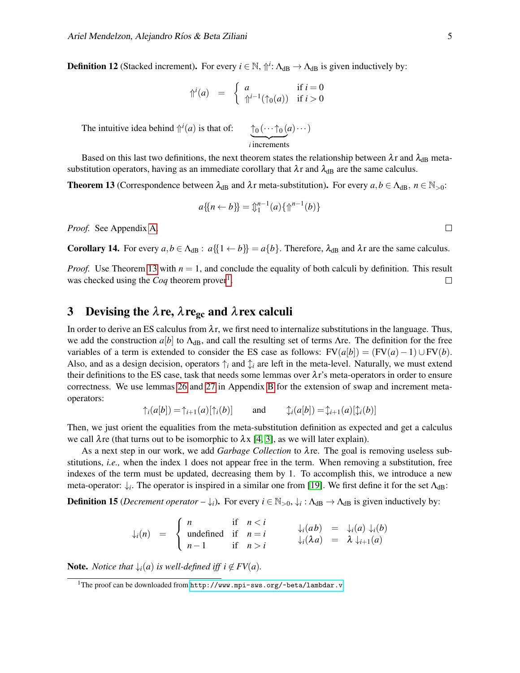**Definition 12** (Stacked increment). For every  $i \in \mathbb{N}$ ,  $\Uparrow$  *i*:  $\Lambda_{dB} \rightarrow \Lambda_{dB}$  is given inductively by:

$$
\Uparrow^{i}(a) = \begin{cases} a & \text{if } i = 0 \\ \Uparrow^{i-1}(\uparrow_{0}(a)) & \text{if } i > 0 \end{cases}
$$

The intuitive idea behind  $\hat{\theta}^{i}(a)$  is that of:  $\hat{\theta}$   $(\cdots \hat{\theta})$ 

 $\sum_{i}$  increments

*a*)···)

Based on this last two definitions, the next theorem states the relationship between  $\lambda r$  and  $\lambda_{dB}$  metasubstitution operators, having as an immediate corollary that  $\lambda r$  and  $\lambda_{dB}$  are the same calculus.

<span id="page-4-1"></span>**Theorem 13** (Correspondence between  $\lambda_{dB}$  and  $\lambda$ r meta-substitution). For every  $a, b \in \Lambda_{dB}$ ,  $n \in \mathbb{N}_{>0}$ :

$$
a\{n \leftarrow b\} = \mathbb{1}^{n-1}(a)\{\mathbb{1}^{n-1}(b)\}
$$

*Proof.* See Appendix [A.](#page-10-1)

<span id="page-4-3"></span>**Corollary 14.** For every  $a, b \in \Lambda_{dB}$ :  $a\{1 \leftarrow b\} = a\{b\}$ . Therefore,  $\lambda_{dB}$  and  $\lambda$ r are the same calculus.

*Proof.* Use Theorem [13](#page-4-1) with  $n = 1$ , and conclude the equality of both calculi by definition. This result was checked using the *Coq* theorem prover<sup>[1](#page-4-2)</sup>.  $\Box$ 

## <span id="page-4-0"></span>3 Devising the  $\lambda$ re,  $\lambda$ re<sub>gc</sub> and  $\lambda$ rex calculi

In order to derive an ES calculus from  $\lambda r$ , we first need to internalize substitutions in the language. Thus, we add the construction  $a[b]$  to  $\Lambda_{\text{dB}}$ , and call the resulting set of terms  $\Lambda$ re. The definition for the free variables of a term is extended to consider the ES case as follows:  $FV(a[b]) = (FV(a) - 1) \cup FV(b)$ . Also, and as a design decision, operators  $\uparrow$  *i* and  $\downarrow$  are left in the meta-level. Naturally, we must extend their definitions to the ES case, task that needs some lemmas over  $\lambda r$ 's meta-operators in order to ensure correctness. We use lemmas [26](#page-11-0) and [27](#page-11-1) in Appendix [B](#page-11-2) for the extension of swap and increment metaoperators:

$$
\uparrow_i(a[b]) = \uparrow_{i+1}(a)[\uparrow_i(b)] \quad \text{and} \quad \uparrow_i(a[b]) = \uparrow_{i+1}(a)[\uparrow_i(b)]
$$

Then, we just orient the equalities from the meta-substitution definition as expected and get a calculus we call  $\lambda$  re (that turns out to be isomorphic to  $\lambda$ x [\[4,](#page-9-6) [3\]](#page-9-7), as we will later explain).

As a next step in our work, we add *Garbage Collection* to λre. The goal is removing useless substitutions, *i.e.,* when the index 1 does not appear free in the term. When removing a substitution, free indexes of the term must be updated, decreasing them by 1. To accomplish this, we introduce a new meta-operator:  $\downarrow_i$ . The operator is inspired in a similar one from [\[19\]](#page-9-12). We first define it for the set  $\Lambda_{dB}$ :

**Definition 15** (*Decrement operator* –  $\downarrow$ *i*). For every  $i \in \mathbb{N}_{>0}$ ,  $\downarrow$ *i*:  $\Lambda_{dB} \to \Lambda_{dB}$  is given inductively by:

$$
\downarrow_i(n) = \begin{cases} n & \text{if } n < i \\ \text{undefined} & \text{if } n = i \\ n - 1 & \text{if } n > i \end{cases} \qquad \downarrow_i(ab) = \downarrow_i(a) \downarrow_i(b) \\ \downarrow_i(\lambda a) = \lambda \downarrow_{i+1}(a)
$$

**Note.** *Notice that*  $\downarrow$ <sub>*i*</sub>(*a*) *is well-defined iff*  $i \notin FV(a)$ *.* 

<span id="page-4-2"></span><sup>&</sup>lt;sup>1</sup>The proof can be downloaded from <http://www.mpi-sws.org/~beta/lambdar.v>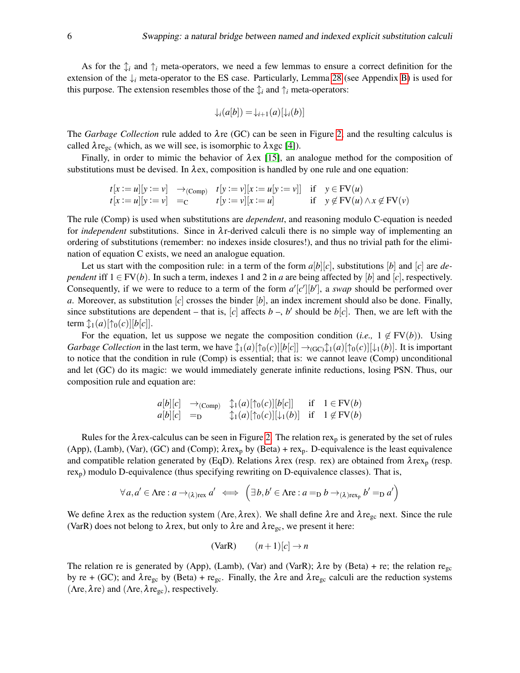As for the  $\hat{\downarrow}_i$  and  $\hat{\uparrow}_i$  meta-operators, we need a few lemmas to ensure a correct definition for the extension of the  $\downarrow$ <sub>*i*</sub> meta-operator to the ES case. Particularly, Lemma [28](#page-11-3) (see Appendix [B\)](#page-11-2) is used for this purpose. The extension resembles those of the  $\hat{\mathcal{L}}_i$  and  $\hat{\mathcal{L}}_i$  meta-operators:

$$
\downarrow_i(a[b]) = \downarrow_{i+1}(a)[\downarrow_i(b)]
$$

The *Garbage Collection* rule added to  $\lambda$ re (GC) can be seen in Figure [2,](#page-6-1) and the resulting calculus is called  $\lambda$ re<sub>gc</sub> (which, as we will see, is isomorphic to  $\lambda$ xgc [\[4\]](#page-9-6)).

Finally, in order to mimic the behavior of  $\lambda$ ex [\[15\]](#page-9-3), an analogue method for the composition of substitutions must be devised. In  $\lambda$ ex, composition is handled by one rule and one equation:

$$
t[x := u][y := v] \rightarrow (comp) \quad t[y := v][x := u[y := v]] \quad \text{if} \quad y \in FV(u)
$$
  

$$
t[x := u][y := v] \quad = c \qquad t[y := v][x := u] \quad \text{if} \quad y \notin FV(u) \land x \notin FV(v)
$$

The rule (Comp) is used when substitutions are *dependent*, and reasoning modulo C-equation is needed for *independent* substitutions. Since in  $\lambda$ r-derived calculi there is no simple way of implementing an ordering of substitutions (remember: no indexes inside closures!), and thus no trivial path for the elimination of equation C exists, we need an analogue equation.

Let us start with the composition rule: in a term of the form  $a[b][c]$ , substitutions  $[b]$  and  $[c]$  are *dependent* iff  $1 \in FV(b)$ . In such a term, indexes 1 and 2 in *a* are being affected by [*b*] and [*c*], respectively. Consequently, if we were to reduce to a term of the form  $a'[c'][b']$ , a *swap* should be performed over *a*. Moreover, as substitution [*c*] crosses the binder [*b*], an index increment should also be done. Finally, since substitutions are dependent – that is,  $[c]$  affects  $b - b'$  should be  $b[c]$ . Then, we are left with the term  $\mathcal{L}_1(a)[\uparrow_0(c)][b[c]]$ .

For the equation, let us suppose we negate the composition condition (*i.e.*,  $1 \notin FV(b)$ ). Using *Garbage Collection* in the last term, we have  $\ln(a)[\ln(a)][b]c] \rightarrow_{(GC)} \ln(a)[\ln(a)][\ln(b)]$ . It is important to notice that the condition in rule (Comp) is essential; that is: we cannot leave (Comp) unconditional and let (GC) do its magic: we would immediately generate infinite reductions, losing PSN. Thus, our composition rule and equation are:

$$
\begin{array}{ll}\n a[b][c] & \rightarrow_{(\text{Comp})} \quad \updownarrow_1(a)[\uparrow_0(c)][b[c]] \quad \text{if} \quad 1 \in \text{FV}(b) \\
 a[b][c] & =_{\text{D}} \quad \updownarrow_1(a)[\uparrow_0(c)][\downarrow_1(b)] \quad \text{if} \quad 1 \notin \text{FV}(b)\n \end{array}
$$

Rules for the  $\lambda$  rex-calculus can be seen in Figure [2.](#page-6-1) The relation rex<sub>p</sub> is generated by the set of rules (App), (Lamb), (Var), (GC) and (Comp);  $\lambda$ rex<sub>p</sub> by (Beta) + rex<sub>p</sub>. D-equivalence is the least equivalence and compatible relation generated by (EqD). Relations  $\lambda$ rex (resp. rex) are obtained from  $\lambda$ rex<sub>p</sub> (resp. rex<sub>p</sub>) modulo D-equivalence (thus specifying rewriting on D-equivalence classes). That is,

$$
\forall a, a' \in \Lambda \mathbf{re} : a \to_{(\lambda)\mathbf{re}x} a' \iff \left( \exists b, b' \in \Lambda \mathbf{re} : a =_{\mathbf{D}} b \to_{(\lambda)\mathbf{re}x_{\mathbf{p}}} b' =_{\mathbf{D}} a' \right)
$$

We define  $\lambda$ rex as the reduction system ( $\Lambda$ re, $\lambda$ rex). We shall define  $\lambda$ re and  $\lambda$ re<sub>gc</sub> next. Since the rule (VarR) does not belong to  $\lambda$ rex, but only to  $\lambda$ re and  $\lambda$ re<sub>gc</sub>, we present it here:

$$
(\text{VarR}) \qquad (n+1)[c] \to n
$$

The relation re is generated by (App), (Lamb), (Var) and (VarR);  $\lambda$ re by (Beta) + re; the relation regc by re + (GC); and  $\lambda$ re<sub>gc</sub> by (Beta) + re<sub>gc</sub>. Finally, the  $\lambda$ re and  $\lambda$ re<sub>gc</sub> calculi are the reduction systems ( $\Lambda$ re,  $\lambda$ re) and ( $\Lambda$ re,  $\lambda$ re<sub>gc</sub>), respectively.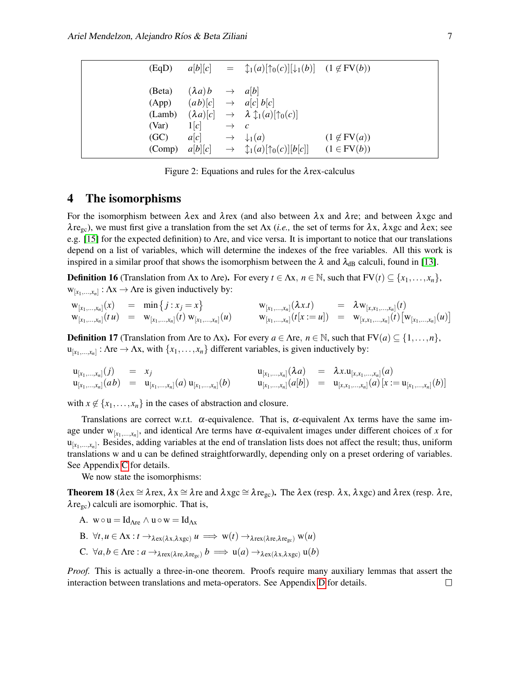| (EqD)                                                |                                                                                               | $a[b][c] = \mathcal{L}_1(a)[\uparrow_0(c)][\downarrow_1(b)]$ $(1 \notin FV(b))$                                                                                                                     |                    |
|------------------------------------------------------|-----------------------------------------------------------------------------------------------|-----------------------------------------------------------------------------------------------------------------------------------------------------------------------------------------------------|--------------------|
| (Beta)<br>(App)<br>(Lamb)<br>(Var)<br>(GC)<br>(Comp) | $(\lambda a)b \rightarrow a[b]$<br>$1[c] \rightarrow c$<br>$a[c] \rightarrow \downarrow_1(a)$ | $(a b)[c] \rightarrow a[c] b[c]$<br>$(\lambda a)[c] \rightarrow \lambda \updownarrow_1(a)[\uparrow_0(c)]$<br>$a[b][c] \rightarrow \mathcal{L}_1(a)[\uparrow_0(c)][b[c]] \quad (1 \in \text{FV}(b))$ | $(1 \notin FV(a))$ |

<span id="page-6-1"></span>Figure 2: Equations and rules for the  $\lambda$  rex-calculus

#### <span id="page-6-0"></span>4 The isomorphisms

For the isomorphism between  $\lambda$ ex and  $\lambda$ rex (and also between  $\lambda x$  and  $\lambda$ re; and between  $\lambda$ xgc and  $\lambda$ re<sub>gc</sub>), we must first give a translation from the set  $\Lambda x$  (*i.e.*, the set of terms for  $\lambda x$ ,  $\lambda x$ gc and  $\lambda$ ex; see e.g. [\[15\]](#page-9-3) for the expected definition) to Λre, and vice versa. It is important to notice that our translations depend on a list of variables, which will determine the indexes of the free variables. All this work is inspired in a similar proof that shows the isomorphism between the  $\lambda$  and  $\lambda_{dB}$  calculi, found in [\[13\]](#page-9-11).

**Definition 16** (Translation from Ax to Are). For every  $t \in \Lambda x$ ,  $n \in \mathbb{N}$ , such that  $FV(t) \subseteq \{x_1, \ldots, x_n\}$ ,  $w_{[x_1,...,x_n]}: \Lambda x \to \Lambda r e$  is given inductively by:

$$
w_{[x_1,...,x_n]}(x) = \min \{j : x_j = x \} \qquad w_{[x_1,...,x_n]}(\lambda x.t) = \lambda w_{[x,x_1,...,x_n]}(t) \n w_{[x_1,...,x_n]}(t) w_{[x_1,...,x_n]}(t) \qquad w_{[x_1,...,x_n]}(t[x := u]) = \lambda w_{[x,x_1,...,x_n]}(t) \big[ w_{[x_1,...,x_n]}(u) \big]
$$

**Definition 17** (Translation from Are to Ax). For every  $a \in \Lambda$ re,  $n \in \mathbb{N}$ , such that  $FV(a) \subseteq \{1, ..., n\}$ ,  $u_{[x_1,...,x_n]}:$   $\Lambda$ re  $\to \Lambda$ x, with  $\{x_1,...,x_n\}$  different variables, is given inductively by:

$$
\begin{array}{rcl}\n\mathbf{u}_{[x_1,...,x_n]}(j) & = & x_j \\
\mathbf{u}_{[x_1,...,x_n]}(ab) & = & \mathbf{u}_{[x_1,...,x_n]}(a) \mathbf{u}_{[x_1,...,x_n]}(b) \\
\mathbf{u}_{[x_1,...,x_n]}(ab) & = & \mathbf{u}_{[x_1,...,x_n]}(ab)[\mathbf{u}_{[x_1,...,x_n]}(ab)] \\
\mathbf{u}_{[x_1,...,x_n]}(ab) & = & \mathbf{u}_{[x,x_1,...,x_n]}(a) \mathbf{u}_{[x_1,...,x_n]}(b)\n\end{array}
$$

with  $x \notin \{x_1, \ldots, x_n\}$  in the cases of abstraction and closure.

Translations are correct w.r.t.  $\alpha$ -equivalence. That is,  $\alpha$ -equivalent  $\Lambda x$  terms have the same image under  $w_{[x_1,...,x_n]}$ , and identical  $\Lambda$ re terms have  $\alpha$ -equivalent images under different choices of *x* for u[*x*1,...,*xn*] . Besides, adding variables at the end of translation lists does not affect the result; thus, uniform translations w and u can be defined straightforwardly, depending only on a preset ordering of variables. See Appendix [C](#page-11-4) for details.

We now state the isomorphisms:

<span id="page-6-2"></span>**Theorem 18** ( $\lambda$ ex  $\cong \lambda$ rex,  $\lambda$ x  $\cong \lambda$ re and  $\lambda$ xgc  $\cong \lambda$ re<sub>gc</sub>). The  $\lambda$ ex (resp.  $\lambda$ x,  $\lambda$ xgc) and  $\lambda$ rex (resp.  $\lambda$ re,  $\lambda$ re<sub>gc</sub>) calculi are isomorphic. That is,

- A.  $w \circ u = Id_{\Delta re} \wedge u \circ w = Id_{\Delta x}$
- B.  $\forall t, u \in \Lambda x : t \to_{\lambda \in x(\lambda x, \lambda x \text{ g}c)} u \implies w(t) \to_{\lambda \in x(\lambda \in x, \lambda \in x_c)} w(u)$
- C.  $\forall a, b \in \Lambda$ re :  $a \rightarrow_{\lambda \text{rex}(\lambda \text{re}, \lambda \text{re}_{\text{gc}})} b \implies u(a) \rightarrow_{\lambda \text{ex}(\lambda \text{x}, \lambda \text{xgc})} u(b)$

*Proof.* This is actually a three-in-one theorem. Proofs require many auxiliary lemmas that assert the interaction between translations and meta-operators. See Appendix [D](#page-12-0) for details. $\Box$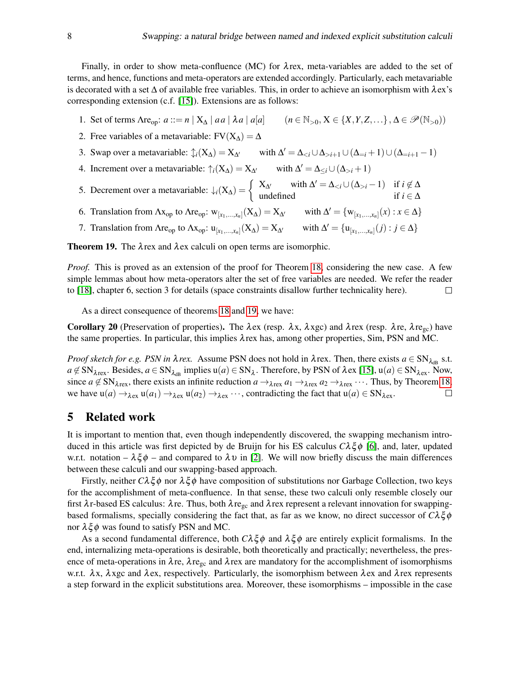Finally, in order to show meta-confluence (MC) for  $\lambda$ rex, meta-variables are added to the set of terms, and hence, functions and meta-operators are extended accordingly. Particularly, each metavariable is decorated with a set  $\Delta$  of available free variables. This, in order to achieve an isomorphism with  $\lambda$ ex's corresponding extension (c.f. [\[15\]](#page-9-3)). Extensions are as follows:

- 1. Set of terms  $\text{Area}_{\text{op}}: a ::= n | X_{\Delta} | aa | \lambda a | a | a \qquad (n \in \mathbb{N}_{>0}, X \in \{X, Y, Z, \dots\}, \Delta \in \mathcal{P}(\mathbb{N}_{>0})$
- 2. Free variables of a metavariable:  $FV(X_\Lambda) = \Delta$
- 3. Swap over a metavariable:  $\oint_i (X_\Delta) = X_{\Delta}$  with  $\Delta' = \Delta_{< i} \cup \Delta_{> i+1} \cup (\Delta_{=i} + 1) \cup (\Delta_{=i+1} 1)$
- 4. Increment over a metavariable:  $\uparrow_i (X_\Delta) = X_{\Delta}$  with  $\Delta' = \Delta_{\leq i} \cup (\Delta_{>i} + 1)$
- 5. Decrement over a metavariable:  $\downarrow_i$ (X<sub> $\Delta$ </sub>) =  $\begin{cases} X_{\Delta'} & \text{with } \Delta' = \Delta_{< i} \cup (\Delta_{> i} 1) & \text{if } i \notin \Delta \\ \text{undefined} & \text{if } i \in \Delta \end{cases}$ undefined if  $i \in \Delta$
- 6. Translation from  $\Lambda x_{op}$  to  $\Lambda r_{op}$ :  $w_{[x_1,...,x_n]}(X_\Delta) = X_{\Delta'}$  with  $\Delta' = \{w_{[x_1,...,x_n]}(x) : x \in \Delta\}$
- 7. Translation from  $\text{Area}_{\text{op}}$  to  $\text{Ax}_{\text{op}}$ :  $u_{[x_1,...,x_n]}(X_\Delta) = X_{\Delta'}$  with  $\Delta' = \{u_{[x_1,...,x_n]}(j) : j \in \Delta\}$

<span id="page-7-1"></span>**Theorem 19.** The  $\lambda$  rex and  $\lambda$  ex calculi on open terms are isomorphic.

*Proof.* This is proved as an extension of the proof for Theorem [18,](#page-6-2) considering the new case. A few simple lemmas about how meta-operators alter the set of free variables are needed. We refer the reader to [\[18\]](#page-9-8), chapter 6, section 3 for details (space constraints disallow further technicality here).  $\Box$ 

As a direct consequence of theorems [18](#page-6-2) and [19,](#page-7-1) we have:

Corollary 20 (Preservation of properties). The  $\lambda$ ex (resp.  $\lambda$ x,  $\lambda$ xgc) and  $\lambda$ rex (resp.  $\lambda$ re,  $\lambda$ re<sub>gc</sub>) have the same properties. In particular, this implies λrex has, among other properties, Sim, PSN and MC.

*Proof sketch for e.g. PSN in*  $\lambda$  *rex.* Assume PSN does not hold in  $\lambda$  rex. Then, there exists  $a \in SN_{\lambda_{dB}}$  s.t.  $a \notin SN_{\lambda \text{rex}}$ . Besides,  $a \in SN_{\lambda_{\text{dB}}}$  implies  $u(a) \in SN_{\lambda}$ . Therefore, by PSN of  $\lambda$ ex [\[15\]](#page-9-3),  $u(a) \in SN_{\lambda \text{ex}}$ . Now, since  $a \notin SN_{\lambda \text{rex}}$ , there exists an infinite reduction  $a \to_{\lambda \text{rex}} a_1 \to_{\lambda \text{rex}} a_2 \to_{\lambda \text{rex}} \cdots$ . Thus, by Theorem [18,](#page-6-2) we have  $u(a) \rightarrow_{\lambda}_{ex} u(a_1) \rightarrow_{\lambda}_{ex} u(a_2) \rightarrow_{\lambda}_{ex} \cdots$ , contradicting the fact that  $u(a) \in SN_{\lambda}_{ex}$ .  $\Box$ 

#### <span id="page-7-0"></span>5 Related work

It is important to mention that, even though independently discovered, the swapping mechanism introduced in this article was first depicted by de Bruijn for his ES calculus *C*λξ φ [\[6\]](#page-9-13), and, later, updated w.r.t. notation –  $\lambda \xi \phi$  – and compared to  $\lambda \upsilon$  in [\[2\]](#page-9-14). We will now briefly discuss the main differences between these calculi and our swapping-based approach.

Firstly, neither  $C\lambda \xi \phi$  nor  $\lambda \xi \phi$  have composition of substitutions nor Garbage Collection, two keys for the accomplishment of meta-confluence. In that sense, these two calculi only resemble closely our first  $\lambda$ r-based ES calculus:  $\lambda$ re. Thus, both  $\lambda$ re<sub>gc</sub> and  $\lambda$ rex represent a relevant innovation for swappingbased formalisms, specially considering the fact that, as far as we know, no direct successor of  $C\lambda\xi\phi$ nor  $\lambda \xi \phi$  was found to satisfy PSN and MC.

As a second fundamental difference, both  $C\lambda\xi\phi$  and  $\lambda\xi\phi$  are entirely explicit formalisms. In the end, internalizing meta-operations is desirable, both theoretically and practically; nevertheless, the presence of meta-operations in  $\lambda$ re,  $\lambda$ re<sub>gc</sub> and  $\lambda$ rex are mandatory for the accomplishment of isomorphisms w.r.t.  $\lambda x$ ,  $\lambda x$ gc and  $\lambda$ ex, respectively. Particularly, the isomorphism between  $\lambda$ ex and  $\lambda$ rex represents a step forward in the explicit substitutions area. Moreover, these isomorphisms – impossible in the case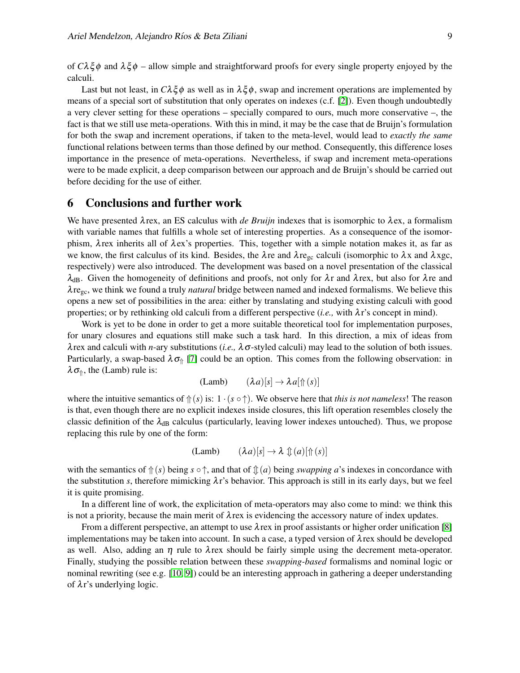of  $C\lambda\xi\phi$  and  $\lambda\xi\phi$  – allow simple and straightforward proofs for every single property enjoyed by the calculi.

Last but not least, in  $C\lambda \xi \phi$  as well as in  $\lambda \xi \phi$ , swap and increment operations are implemented by means of a special sort of substitution that only operates on indexes (c.f. [\[2\]](#page-9-14)). Even though undoubtedly a very clever setting for these operations – specially compared to ours, much more conservative –, the fact is that we still use meta-operations. With this in mind, it may be the case that de Bruijn's formulation for both the swap and increment operations, if taken to the meta-level, would lead to *exactly the same* functional relations between terms than those defined by our method. Consequently, this difference loses importance in the presence of meta-operations. Nevertheless, if swap and increment meta-operations were to be made explicit, a deep comparison between our approach and de Bruijn's should be carried out before deciding for the use of either.

### <span id="page-8-0"></span>6 Conclusions and further work

We have presented  $\lambda$  rex, an ES calculus with *de Bruijn* indexes that is isomorphic to  $\lambda$ ex, a formalism with variable names that fulfills a whole set of interesting properties. As a consequence of the isomorphism,  $\lambda$ rex inherits all of  $\lambda$ ex's properties. This, together with a simple notation makes it, as far as we know, the first calculus of its kind. Besides, the  $\lambda$ re and  $\lambda$ re<sub>gc</sub> calculi (isomorphic to  $\lambda x$  and  $\lambda x$ gc, respectively) were also introduced. The development was based on a novel presentation of the classical  $\lambda_{dB}$ . Given the homogeneity of definitions and proofs, not only for  $\lambda r$  and  $\lambda$ rex, but also for  $\lambda r$ e and λregc, we think we found a truly *natural* bridge between named and indexed formalisms. We believe this opens a new set of possibilities in the area: either by translating and studying existing calculi with good properties; or by rethinking old calculi from a different perspective (*i.e.,* with λr's concept in mind).

Work is yet to be done in order to get a more suitable theoretical tool for implementation purposes, for unary closures and equations still make such a task hard. In this direction, a mix of ideas from  $\lambda$  rex and calculi with *n*-ary substitutions (*i.e.*,  $\lambda \sigma$ -styled calculi) may lead to the solution of both issues. Particularly, a swap-based  $\lambda \sigma_{\parallel}$  [\[7\]](#page-9-15) could be an option. This comes from the following observation: in  $\lambda \sigma_{\hat{\theta}}$ , the (Lamb) rule is:

$$
(\text{Lamb}) \qquad (\lambda a)[s] \to \lambda a[\Uparrow (s)]
$$

where the intuitive semantics of  $\Uparrow(s)$  is:  $1 \cdot (s \circ \Uparrow)$ . We observe here that *this is not nameless*! The reason is that, even though there are no explicit indexes inside closures, this lift operation resembles closely the classic definition of the  $\lambda_{\text{dB}}$  calculus (particularly, leaving lower indexes untouched). Thus, we propose replacing this rule by one of the form:

(Lamb) 
$$
(\lambda a)[s] \to \lambda \mathcal{L}(a)[\Uparrow(s)]
$$

with the semantics of  $\Uparrow$  (*s*) being *s*  $\circ \uparrow$ , and that of  $\Uparrow$  (*a*) being *swapping a*'s indexes in concordance with the substitution *s*, therefore mimicking  $\lambda r$ 's behavior. This approach is still in its early days, but we feel it is quite promising.

In a different line of work, the explicitation of meta-operators may also come to mind: we think this is not a priority, because the main merit of  $\lambda$  rex is evidencing the accessory nature of index updates.

From a different perspective, an attempt to use  $\lambda$  rex in proof assistants or higher order unification [\[8\]](#page-9-16) implementations may be taken into account. In such a case, a typed version of  $\lambda$  rex should be developed as well. Also, adding an  $\eta$  rule to  $\lambda$  rex should be fairly simple using the decrement meta-operator. Finally, studying the possible relation between these *swapping-based* formalisms and nominal logic or nominal rewriting (see e.g. [\[10,](#page-9-17) [9\]](#page-9-18)) could be an interesting approach in gathering a deeper understanding of  $\lambda r$ 's underlying logic.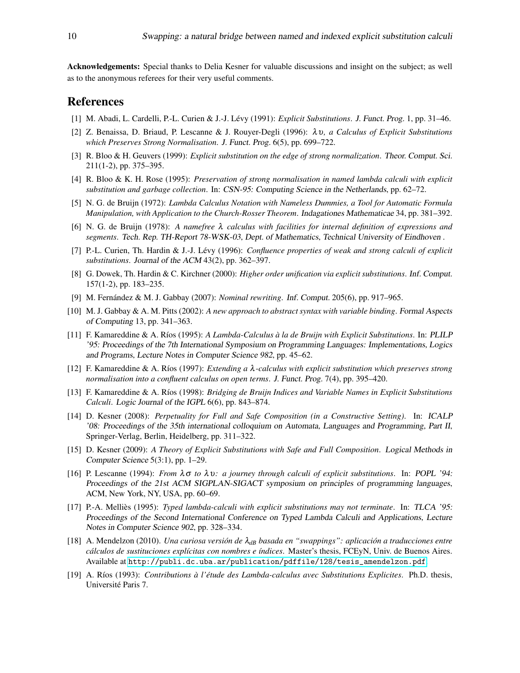Acknowledgements: Special thanks to Delia Kesner for valuable discussions and insight on the subject; as well as to the anonymous referees for their very useful comments.

#### References

- <span id="page-9-0"></span>[1] M. Abadi, L. Cardelli, P.-L. Curien & J.-J. Levy (1991): ´ *Explicit Substitutions*. J. Funct. Prog. 1, pp. 31–46.
- <span id="page-9-14"></span>[2] Z. Benaissa, D. Briaud, P. Lescanne & J. Rouyer-Degli (1996): λ υ*, a Calculus of Explicit Substitutions which Preserves Strong Normalisation*. J. Funct. Prog. 6(5), pp. 699–722.
- <span id="page-9-7"></span>[3] R. Bloo & H. Geuvers (1999): *Explicit substitution on the edge of strong normalization*. Theor. Comput. Sci. 211(1-2), pp. 375–395.
- <span id="page-9-6"></span>[4] R. Bloo & K. H. Rose (1995): *Preservation of strong normalisation in named lambda calculi with explicit substitution and garbage collection*. In: CSN-95: Computing Science in the Netherlands, pp. 62–72.
- <span id="page-9-5"></span>[5] N. G. de Bruijn (1972): *Lambda Calculus Notation with Nameless Dummies, a Tool for Automatic Formula Manipulation, with Application to the Church-Rosser Theorem*. Indagationes Mathematicae 34, pp. 381–392.
- <span id="page-9-13"></span>[6] N. G. de Bruijn (1978): *A namefree* λ *calculus with facilities for internal definition of expressions and segments*. Tech. Rep. TH-Report 78-WSK-03, Dept. of Mathematics, Technical University of Eindhoven .
- <span id="page-9-15"></span>[7] P.-L. Curien, Th. Hardin & J.-J. Lévy (1996): *Confluence properties of weak and strong calculi of explicit substitutions*. Journal of the ACM 43(2), pp. 362–397.
- <span id="page-9-16"></span>[8] G. Dowek, Th. Hardin & C. Kirchner (2000): *Higher order unification via explicit substitutions*. Inf. Comput. 157(1-2), pp. 183–235.
- <span id="page-9-18"></span>[9] M. Fernández & M. J. Gabbay (2007): *Nominal rewriting*. Inf. Comput. 205(6), pp. 917–965.
- <span id="page-9-17"></span>[10] M. J. Gabbay & A. M. Pitts (2002): *A new approach to abstract syntax with variable binding*. Formal Aspects of Computing 13, pp. 341–363.
- <span id="page-9-9"></span>[11] F. Kamareddine & A. Ríos (1995): *A Lambda-Calculus à la de Bruijn with Explicit Substitutions*. In: PLILP '95: Proceedings of the 7th International Symposium on Programming Languages: Implementations, Logics and Programs, Lecture Notes in Computer Science 982, pp. 45–62.
- <span id="page-9-10"></span>[12] F. Kamareddine & A. R´ıos (1997): *Extending a* λ*-calculus with explicit substitution which preserves strong normalisation into a confluent calculus on open terms*. J. Funct. Prog. 7(4), pp. 395–420.
- <span id="page-9-11"></span>[13] F. Kamareddine & A. Ríos (1998): *Bridging de Bruijn Indices and Variable Names in Explicit Substitutions Calculi*. Logic Journal of the IGPL 6(6), pp. 843–874.
- <span id="page-9-4"></span>[14] D. Kesner (2008): *Perpetuality for Full and Safe Composition (in a Constructive Setting)*. In: ICALP '08: Proceedings of the 35th international colloquium on Automata, Languages and Programming, Part II, Springer-Verlag, Berlin, Heidelberg, pp. 311–322.
- <span id="page-9-3"></span>[15] D. Kesner (2009): *A Theory of Explicit Substitutions with Safe and Full Composition*. Logical Methods in Computer Science 5(3:1), pp. 1–29.
- <span id="page-9-2"></span>[16] P. Lescanne (1994): *From*  $\lambda \sigma$  *to*  $\lambda \nu$ : *a journey through calculi of explicit substitutions.* In: POPL '94: Proceedings of the 21st ACM SIGPLAN-SIGACT symposium on principles of programming languages, ACM, New York, NY, USA, pp. 60–69.
- <span id="page-9-1"></span>[17] P.-A. Melliès (1995): *Typed lambda-calculi with explicit substitutions may not terminate*. In: TLCA '95: Proceedings of the Second International Conference on Typed Lambda Calculi and Applications, Lecture Notes in Computer Science 902, pp. 328–334.
- <span id="page-9-8"></span>[18] A. Mendelzon (2010). *Una curiosa versión de*  $\lambda_{dB}$  *basada en "swappings": aplicación a traducciones entre calculos de sustituciones expl ´ ´ıcitas con nombres e ´ındices*. Master's thesis, FCEyN, Univ. de Buenos Aires. Available at [http://publi.dc.uba.ar/publication/pdffile/128/tesis\\_amendelzon.pdf](http://publi.dc.uba.ar/publication/pdffile/128/tesis_amendelzon.pdf).
- <span id="page-9-12"></span>[19] A. R´ıos (1993): *Contributions a l' ` etude des Lambda-calculus avec Substitutions Explicites ´* . Ph.D. thesis, Université Paris 7.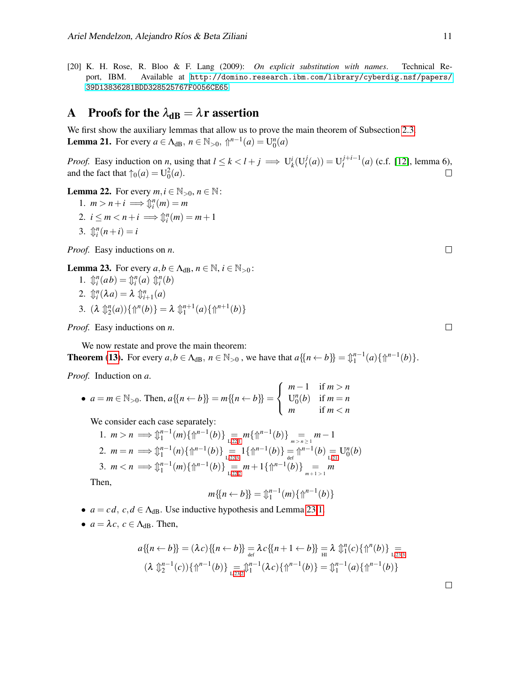<span id="page-10-0"></span>[20] K. H. Rose, R. Bloo & F. Lang (2009): *On explicit substitution with names*. Technical Report, IBM. Available at [http://domino.research.ibm.com/library/cyberdig.nsf/papers/](http://domino.research.ibm.com/library/cyberdig.nsf/papers/39D13836281BDD328525767F0056CE65) [39D13836281BDD328525767F0056CE65](http://domino.research.ibm.com/library/cyberdig.nsf/papers/39D13836281BDD328525767F0056CE65).

## <span id="page-10-1"></span>A Proofs for the  $\lambda_{\rm dB} = \lambda r$  assertion

<span id="page-10-5"></span>We first show the auxiliary lemmas that allow us to prove the main theorem of Subsection [2.3.](#page-3-0) **Lemma 21.** For every  $a \in \Lambda_{dB}$ ,  $n \in \mathbb{N}_{>0}$ ,  $\Uparrow^{n-1}(a) = \mathrm{U}_{0}^{n}(a)$ 

*Proof.* Easy induction on *n*, using that  $l \le k < l + j \implies U_k^i(U_l^j)$  $\big( \frac{d}{d} \big) = \mathbf{U}_l^{j+i-1}$  $l_l^{j+l-1}(a)$  (c.f. [\[12\]](#page-9-10), lemma 6), and the fact that  $\uparrow_0(a) = U_0^2(a)$ .  $\Box$ 

<span id="page-10-3"></span><span id="page-10-2"></span>**Lemma 22.** For every  $m, i \in \mathbb{N}_{>0}, n \in \mathbb{N}$ :

<span id="page-10-6"></span>1.  $m > n + i \implies \mathcal{L}_i^n(m) = m$ 2.  $i \leq m < n + i \implies \mathcal{L}_i^n(m) = m + 1$ 3.  $\oint_{i}^{n}(n+i) = i$ 

<span id="page-10-4"></span>*Proof.* Easy inductions on *n*.

<span id="page-10-8"></span><span id="page-10-7"></span>**Lemma 23.** For every  $a, b \in A_{dB}$ ,  $n \in \mathbb{N}$ ,  $i \in \mathbb{N}_{>0}$ :

<span id="page-10-10"></span>1.  $\mathcal{D}_i^n(ab) = \mathcal{D}_i^n(a) \mathcal{D}_i^n(b)$ 2.  $\mathbb{D}_i^n(\lambda a) = \lambda \mathbb{D}_{i+1}^n(a)$ 3.  $(\lambda \, \mathcal{L}_2^n(a))\{\mathcal{L}^n(b)\} = \lambda \, \mathcal{L}_1^{n+1}(a)\{\mathcal{L}^{n+1}(b)\}\$ 

<span id="page-10-9"></span>*Proof.* Easy inductions on *n*.

We now restate and prove the main theorem:

**Theorem ([13](#page-4-1)).** For every  $a, b \in \Lambda_{dB}$ ,  $n \in \mathbb{N}_{>0}$ , we have that  $a\{n \leftarrow b\} = \mathbb{1}^{n-1}(a)\{\mathbb{1}^{n-1}(b)\}.$ 

*Proof.* Induction on *a*.

• 
$$
a = m \in \mathbb{N}_{>0}
$$
. Then,  $a\{\{n \leftarrow b\}\}=m\{\{n \leftarrow b\}\} = \begin{cases} m-1 & \text{if } m > n \\ U_0^n(b) & \text{if } m = n \\ m & \text{if } m < n \end{cases}$ 

We consider each case separately:

1. 
$$
m > n \implies \hat{\mu}_1^{n-1}(m)\{\hat{\mu}^{n-1}(b)\}\n= m\{\hat{\mu}^{n-1}(b)\}\n= m-1
$$
  
\n2.  $m = n \implies \hat{\mu}_1^{n-1}(n)\{\hat{\mu}^{n-1}(b)\}\n= 1\{\hat{\mu}^{n-1}(b)\}\n= \hat{\mu}^{n-1}(b) \in U_0^n(b)$   
\n3.  $m < n \implies \hat{\mu}_1^{n-1}(m)\{\hat{\mu}^{n-1}(b)\}\n= m + 1\{\hat{\mu}^{n-1}(b)\}\n= m$   
\nthen

Then,

$$
m\{\{n\leftarrow b\}\} = \mathcal{L}_1^{n-1}(m)\{\Uparrow^{n-1}(b)\}
$$

- $a = cd$ ,  $c, d \in \Lambda_{dB}$ . Use inductive hypothesis and Lemma [23.](#page-10-7)[1.](#page-10-8)
- $a = \lambda c$ ,  $c \in \Lambda_{dR}$ . Then,

$$
a\{n \leftarrow b\} = (\lambda c)\{n \leftarrow b\} = \lambda c\{n+1 \leftarrow b\} = \lambda \hat{v}_n^n(c)\{\uparrow^n(b)\} =
$$
  

$$
(\lambda \hat{v}_2^{n-1}(c))\{\uparrow^{n-1}(b)\} = \hat{v}_1^{n-1}(\lambda c)\{\uparrow^{n-1}(b)\} = \hat{v}_1^{n-1}(a)\{\uparrow^{n-1}(b)\}
$$

 $\Box$ 

 $\Box$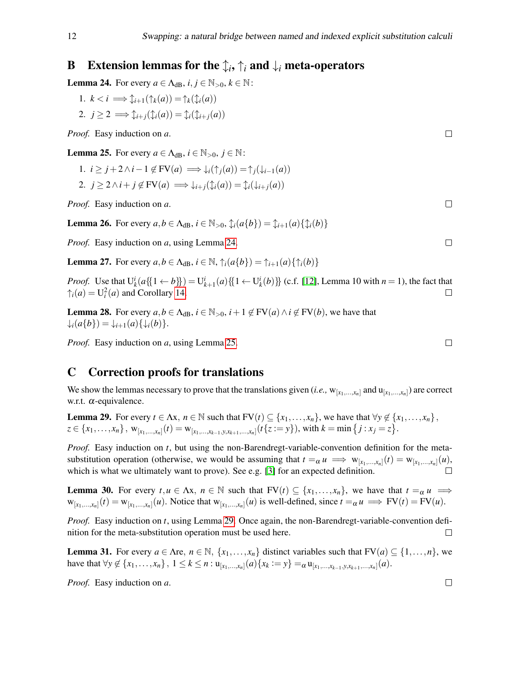## <span id="page-11-2"></span>**B** Extension lemmas for the  $\updownarrow_i, \uparrow_i$  and  $\downarrow_i$  meta-operators

<span id="page-11-5"></span>**Lemma 24.** For every  $a \in \Lambda_{dB}$ ,  $i, j \in \mathbb{N}_{>0}$ ,  $k \in \mathbb{N}$ :

1. 
$$
k < i \implies \hat{\downarrow}_{i+1}(\uparrow_k(a)) = \uparrow_k(\hat{\downarrow}_i(a))
$$
  
\n2.  $j \ge 2 \implies \hat{\downarrow}_{i+j}(\hat{\downarrow}_i(a)) = \hat{\downarrow}_i(\hat{\downarrow}_{i+j}(a))$ 

*Proof.* Easy induction on *a*.

<span id="page-11-6"></span>**Lemma 25.** For every  $a \in \Lambda_{dB}$ ,  $i \in \mathbb{N}_{>0}$ ,  $j \in \mathbb{N}$ :

1.  $i \geq j + 2 \wedge i - 1 \notin FV(a) \implies \downarrow_i(\uparrow_i(a)) = \uparrow_i(\downarrow_{i-1}(a))$ 2.  $j \geq 2 \wedge i + j \notin FV(a) \implies \downarrow_{i+j}(\mathcal{L}_i(a)) = \mathcal{L}_i(\downarrow_{i+j}(a))$ 

*Proof.* Easy induction on *a*.

<span id="page-11-0"></span>**Lemma 26.** For every  $a, b \in \Lambda_{dB}$ ,  $i \in \mathbb{N}_{>0}$ ,  $\mathbb{1}_i(a\{b\}) = \mathbb{1}_{i+1}(a)\{\mathbb{1}_i(b)\}\$ 

*Proof.* Easy induction on *a*, using Lemma [24.](#page-11-5)

<span id="page-11-1"></span>**Lemma 27.** For every  $a, b \in \Lambda_{dB}$ ,  $i \in \mathbb{N}$ ,  $\uparrow_i(a\{b\}) = \uparrow_{i+1}(a)\{\uparrow_i(b)\}$ 

*Proof.* Use that  $U_k^i(a{\{\{1 \leftarrow b\}\}) = U_{k+1}^i(a){\{\{1 \leftarrow U_k^i(b)\}\}\}$  (c.f. [\[12\]](#page-9-10), Lemma 10 with  $n = 1$ ), the fact that  $\uparrow$ <sub>*i*</sub>(*a*) = U<sup>2</sup><sub>*i*</sub>(*a*) and Corollary [14.](#page-4-3)  $\Box$ 

<span id="page-11-3"></span>**Lemma 28.** For every  $a, b \in \Lambda_{dB}$ ,  $i \in \mathbb{N}_{>0}$ ,  $i+1 \notin FV(a) \land i \notin FV(b)$ , we have that  $\downarrow$ *i*(*a*{*b*}) =  $\downarrow$ *i*+1(*a*){ $\downarrow$ *i*(*b*)}.

*Proof.* Easy induction on *a*, using Lemma [25.](#page-11-6)

#### <span id="page-11-4"></span>C Correction proofs for translations

We show the lemmas necessary to prove that the translations given (*i.e.*,  $w_{[x_1,...,x_n]}$  and  $u_{[x_1,...,x_n]}$ ) are correct w.r.t. α-equivalence.

<span id="page-11-7"></span>**Lemma 29.** For every  $t \in \Lambda x$ ,  $n \in \mathbb{N}$  such that  $FV(t) \subseteq \{x_1, \ldots, x_n\}$ , we have that  $\forall y \notin \{x_1, \ldots, x_n\}$ ,  $z \in \{x_1, \ldots, x_n\}$ ,  $w_{[x_1, \ldots, x_n]}(t) = w_{[x_1, \ldots, x_{k-1}, y, x_{k+1}, \ldots, x_n]}(t\{z := y\})$ , with  $k = \min\{j : x_j = z\}$ .

*Proof.* Easy induction on *t*, but using the non-Barendregt-variable-convention definition for the metasubstitution operation (otherwise, we would be assuming that  $t = \alpha u \implies w_{[x_1,...,x_n]}(t) = w_{[x_1,...,x_n]}(u)$ , which is what we ultimately want to prove). See e.g. [\[3\]](#page-9-7) for an expected definition.

**Lemma 30.** For every  $t, u \in \Lambda x, n \in \mathbb{N}$  such that  $FV(t) \subseteq \{x_1, \ldots, x_n\}$ , we have that  $t = \alpha u$   $\implies$  $w_{[x_1,...,x_n]}(t) = w_{[x_1,...,x_n]}(u)$ . Notice that  $w_{[x_1,...,x_n]}(u)$  is well-defined, since  $t =_{\alpha} u \implies FV(t) = FV(u)$ .

*Proof.* Easy induction on *t*, using Lemma [29.](#page-11-7) Once again, the non-Barendregt-variable-convention definition for the meta-substitution operation must be used here.  $\Box$ 

<span id="page-11-8"></span>**Lemma 31.** For every  $a \in \Lambda$ re,  $n \in \mathbb{N}$ ,  $\{x_1, \ldots, x_n\}$  distinct variables such that  $FV(a) \subseteq \{1, \ldots, n\}$ , we have that  $\forall y \notin \{x_1, ..., x_n\}, 1 \le k \le n : \mathbf{u}_{[x_1, ..., x_n]}(a) \{x_k := y\} =_{\alpha} \mathbf{u}_{[x_1, ..., x_{k-1}, y, x_{k+1}, ..., x_n]}(a)$ .

*Proof.* Easy induction on *a*.

 $\Box$ 

 $\Box$ 

 $\Box$ 

 $\Box$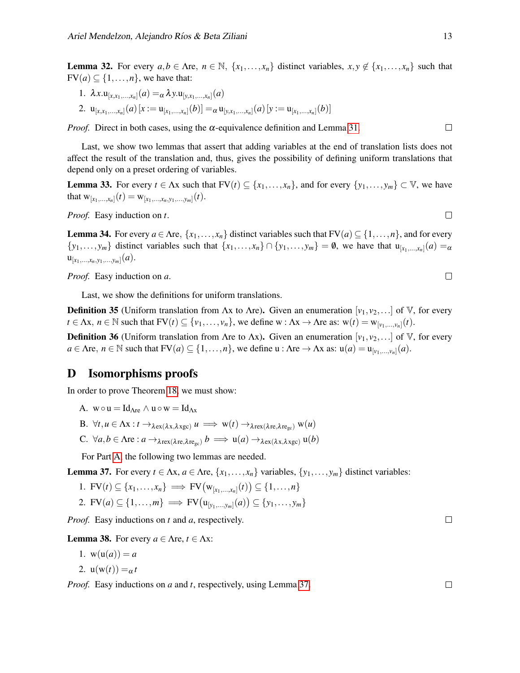**Lemma 32.** For every  $a, b \in \Lambda$ re,  $n \in \mathbb{N}$ ,  $\{x_1, \ldots, x_n\}$  distinct variables,  $x, y \notin \{x_1, \ldots, x_n\}$  such that  $FV(a) \subseteq \{1, \ldots, n\}$ , we have that:

- 1.  $\lambda x. \mathbf{u}_{[x,x_1,...,x_n]}(a) = \alpha \lambda y. \mathbf{u}_{[y,x_1,...,x_n]}(a)$
- 2.  $\mathbf{u}_{[x,x_1,...,x_n]}(a)$   $[x := \mathbf{u}_{[x_1,...,x_n]}(b)] =_{\alpha} \mathbf{u}_{[y,x_1,...,x_n]}(a)$   $[y := \mathbf{u}_{[x_1,...,x_n]}(b)]$

*Proof.* Direct in both cases, using the  $\alpha$ -equivalence definition and Lemma [31.](#page-11-8)

Last, we show two lemmas that assert that adding variables at the end of translation lists does not affect the result of the translation and, thus, gives the possibility of defining uniform translations that depend only on a preset ordering of variables.

**Lemma 33.** For every  $t \in \Lambda x$  such that  $FV(t) \subseteq \{x_1, \ldots, x_n\}$ , and for every  $\{y_1, \ldots, y_m\} \subset V$ , we have that  $w_{[x_1,...,x_n]}(t) = w_{[x_1,...,x_n,y_1,...,y_m]}(t)$ .

*Proof.* Easy induction on *t*.

**Lemma 34.** For every  $a \in \text{Are}, \{x_1, \ldots, x_n\}$  distinct variables such that  $FV(a) \subseteq \{1, \ldots, n\}$ , and for every  $\{y_1, \ldots, y_m\}$  distinct variables such that  $\{x_1, \ldots, x_n\} \cap \{y_1, \ldots, y_m\} = \emptyset$ , we have that  $u_{[x_1, \ldots, x_n]}(a) = a$  $\mathsf{u}_{[x_1,...,x_n,y_1,...,y_m]}(a).$ 

*Proof.* Easy induction on *a*.

Last, we show the definitions for uniform translations.

**Definition 35** (Uniform translation from  $\Lambda x$  to  $\Lambda r$ e). Given an enumeration  $[v_1, v_2,...]$  of V, for every  $t \in \Lambda x, n \in \mathbb{N}$  such that  $FV(t) \subseteq \{v_1, \ldots, v_n\}$ , we define  $w : \Lambda x \to \Lambda r$ e as:  $w(t) = w_{[v_1, \ldots, v_n]}(t)$ .

**Definition 36** (Uniform translation from Λre to Λx). Given an enumeration  $[v_1, v_2,...]$  of V, for every  $a \in \Lambda$ re,  $n \in \mathbb{N}$  such that  $FV(a) \subseteq \{1, ..., n\}$ , we define  $u : \Lambda$ re  $\to \Lambda$ x as:  $u(a) = u_{[v_1,...,v_n]}(a)$ .

#### <span id="page-12-0"></span>D Isomorphisms proofs

In order to prove Theorem [18,](#page-6-2) we must show:

<span id="page-12-1"></span>A.  $w \circ u = Id_{\Delta re} \wedge u \circ w = Id_{\Delta x}$ 

<span id="page-12-3"></span>B. 
$$
\forall t, u \in \Lambda x : t \to_{\lambda \in x(\lambda x, \lambda xgc)} u \implies w(t) \to_{\lambda \in x(\lambda \in \lambda \in c_{gc})} w(u)
$$

<span id="page-12-4"></span>C.  $\forall a, b \in \Lambda$ re :  $a \rightarrow_{\lambda \text{rex}(\lambda \text{re}, \lambda \text{re}_\text{ce})} b \implies u(a) \rightarrow_{\lambda \text{ex}(\lambda \text{X}, \lambda \text{xec})} u(b)$ 

For Part [A,](#page-12-1) the following two lemmas are needed.

<span id="page-12-2"></span>**Lemma 37.** For every  $t \in \Lambda x$ ,  $a \in \Lambda r$ e,  $\{x_1, \ldots, x_n\}$  variables,  $\{y_1, \ldots, y_m\}$  distinct variables:

1. 
$$
\text{FV}(t) \subseteq \{x_1, \ldots, x_n\} \implies \text{FV}\big(\mathbf{w}_{[x_1, \ldots, x_n]}(t)\big) \subseteq \{1, \ldots, n\}
$$

2. **FV**(*a*)  $\subseteq$  {1,...,*m*}  $\implies$  **FV**( $u_{[y_1,...,y_m]}(a)$ )  $\subseteq$  {*y*<sub>1</sub>,...,*y<sub>m</sub>*}

*Proof.* Easy inductions on *t* and *a*, respectively.

**Lemma 38.** For every  $a \in \Lambda$ re,  $t \in \Lambda$ x:

1. 
$$
w(u(a)) = a
$$
  
2. 
$$
u(w(t)) = a
$$

*Proof.* Easy inductions on *a* and *t*, respectively, using Lemma [37.](#page-12-2)

 $\Box$ 

 $\Box$ 

 $\Box$ 

 $\Box$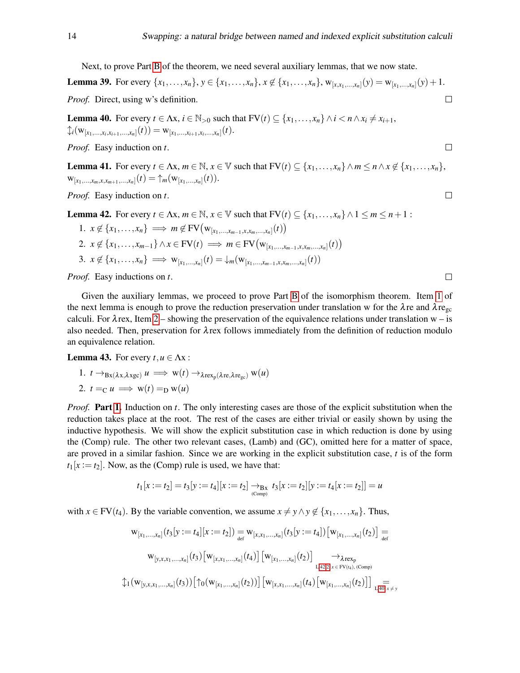Next, to prove Part [B](#page-12-3) of the theorem, we need several auxiliary lemmas, that we now state.

**Lemma 39.** For every  $\{x_1, ..., x_n\}$ ,  $y \in \{x_1, ..., x_n\}$ ,  $x \notin \{x_1, ..., x_n\}$ ,  $w_{[x, x_1, ..., x_n]}(y) = w_{[x_1, ..., x_n]}(y) + 1$ . *Proof.* Direct, using w's definition.  $\Box$ 

<span id="page-13-4"></span>**Lemma 40.** For every  $t \in \Lambda x$ ,  $i \in \mathbb{N}_{>0}$  such that  $FV(t) \subseteq \{x_1, \ldots, x_n\} \wedge i \leq n \wedge x_i \neq x_{i+1}$ ,  $\mathcal{L}_i(\mathrm{w}_{[x_1,...,x_i,x_{i+1},...,x_n]}(t)) = \mathrm{w}_{[x_1,...,x_{i+1},x_i,...,x_n]}(t).$ 

*Proof.* Easy induction on *t*.

<span id="page-13-5"></span>**Lemma 41.** For every  $t \in \Lambda x$ ,  $m \in \mathbb{N}$ ,  $x \in \mathbb{V}$  such that  $FV(t) \subseteq \{x_1, \ldots, x_n\} \wedge m \leq n \wedge x \notin \{x_1, \ldots, x_n\}$ ,  ${\rm w}_{[x_1,...,x_m,x,x_{m+1},...,x_n]}(t) = {\uparrow}_m({\rm w}_{[x_1,...,x_n]}(t)).$ 

*Proof.* Easy induction on *t*.

<span id="page-13-2"></span>**Lemma 42.** For every  $t \in \Lambda x$ ,  $m \in \mathbb{N}$ ,  $x \in \mathbb{V}$  such that  $FV(t) \subseteq \{x_1, \ldots, x_n\} \wedge 1 \le m \le n+1$ :

<span id="page-13-3"></span>1. 
$$
x \notin \{x_1, ..., x_n\} \implies m \notin FV(w_{[x_1,...,x_{m-1},x,x_m,...,x_n]}(t))
$$
  
\n2.  $x \notin \{x_1,...,x_{m-1}\} \land x \in FV(t) \implies m \in FV(w_{[x_1,...,x_{m-1},x,x_m,...,x_n]}(t))$   
\n3.  $x \notin \{x_1,...,x_n\} \implies w_{[x_1,...,x_n]}(t) = \downarrow_m (w_{[x_1,...,x_{m-1},x,x_m,...,x_n]}(t))$ 

*Proof.* Easy inductions on *t*.

Given the auxiliary lemmas, we proceed to prove Part [B](#page-12-3) of the isomorphism theorem. Item [1](#page-13-0) of the next lemma is enough to prove the reduction preservation under translation w for the  $\lambda$ re and  $\lambda$ re<sub>gc</sub> calculi. For  $\lambda$  rex, Item [2](#page-13-1) – showing the preservation of the equivalence relations under translation w – is also needed. Then, preservation for λrex follows immediately from the definition of reduction modulo an equivalence relation.

<span id="page-13-6"></span><span id="page-13-0"></span>**Lemma 43.** For every  $t, u \in \Lambda x$ :

<span id="page-13-1"></span>1. 
$$
t \to_{Bx(\lambda x, \lambda xgc)} u \implies w(t) \to_{\lambda rex_p(\lambda r e, \lambda r e_{gc})} w(u)
$$
  
2.  $t =_C u \implies w(t) =_D w(u)$ 

*Proof.* Part [1.](#page-13-0) Induction on *t*. The only interesting cases are those of the explicit substitution when the reduction takes place at the root. The rest of the cases are either trivial or easily shown by using the inductive hypothesis. We will show the explicit substitution case in which reduction is done by using the (Comp) rule. The other two relevant cases, (Lamb) and (GC), omitted here for a matter of space, are proved in a similar fashion. Since we are working in the explicit substitution case, *t* is of the form  $t_1[x := t_2]$ . Now, as the (Comp) rule is used, we have that:

$$
t_1[x := t_2] = t_3[y := t_4][x := t_2] \underset{\text{(Comp)}}{\rightarrow} t_3[x := t_2][y := t_4[x := t_2]] = u
$$

with  $x \in FV(t_4)$ . By the variable convention, we assume  $x \neq y \land y \notin \{x_1, \ldots, x_n\}$ . Thus,

$$
w_{[x_1,...,x_n]}(t_3[y := t_4][x := t_2]) = w_{[x,x_1,...,x_n]}(t_3[y := t_4]) [w_{[x_1,...,x_n]}(t_2)] =
$$
  

$$
w_{[y,x,x_1,...,x_n]}(t_3) [w_{[x,x_1,...,x_n]}(t_4)] [w_{[x_1,...,x_n]}(t_2)] \longrightarrow_{\text{L.42.2, }x \in FV(t_4), \text{ (Comp)}}
$$
  

$$
\downarrow_1 (w_{[y,x,x_1,...,x_n]}(t_3)) [\uparrow_0 (w_{[x_1,...,x_n]}(t_2))] [w_{[x,x_1,...,x_n]}(t_4) [w_{[x_1,...,x_n]}(t_2)]] \underset{\text{L.40, }x \neq y}{=}
$$

 $\Box$ 

 $\Box$